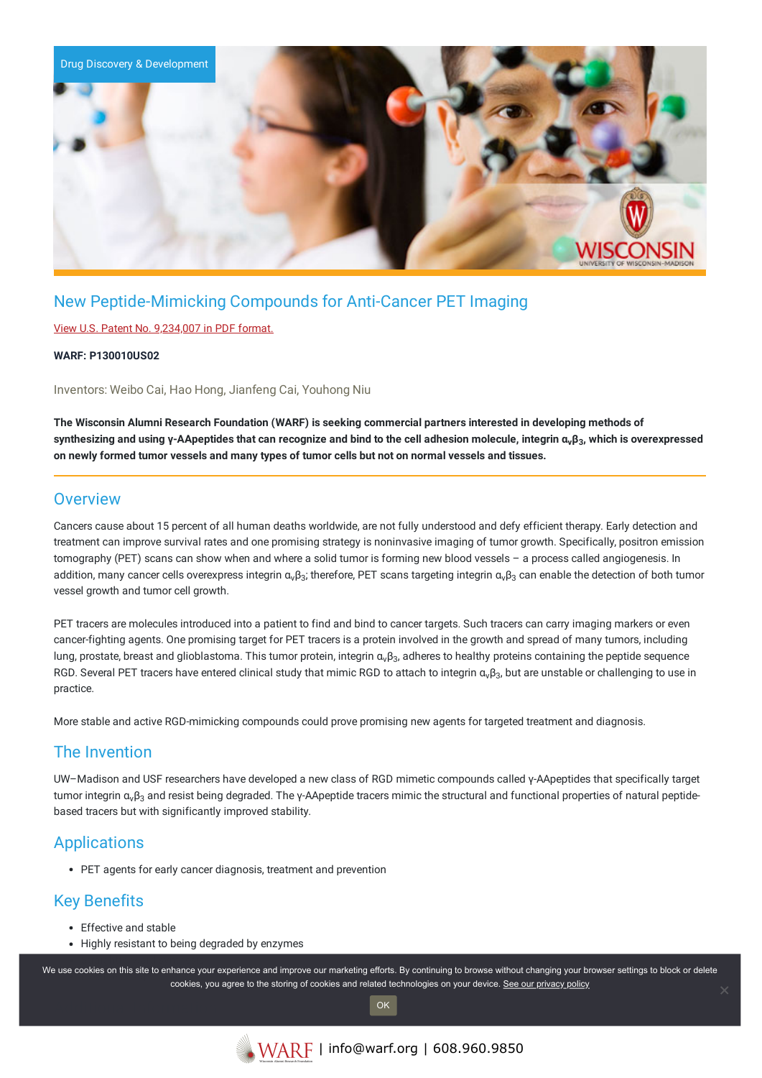

# New Peptide-Mimicking Compounds for Anti-Cancer PET Imaging

### View U.S. Patent No. [9,234,007](https://www.warf.org/wp-content/uploads/technologies/ipstatus/P130010US02.PDF) in PDF format.

### **WARF: P130010US02**

Inventors: Weibo Cai, Hao Hong, Jianfeng Cai, Youhong Niu

**The Wisconsin Alumni Research Foundation (WARF) is seeking commercial partners interested in developing methods of** synthesizing and using γ-AApeptides that can recognize and bind to the cell adhesion molecule, integrin α<sub>ν</sub>β<sub>3</sub>, which is overexpressed **on newly formed tumor vessels and many types of tumor cells but not on normal vessels and tissues.**

### **Overview**

Cancers cause about 15 percent of all human deaths worldwide, are not fully understood and defy efficient therapy. Early detection and treatment can improve survival rates and one promising strategy is noninvasive imaging of tumor growth. Specifically, positron emission tomography (PET) scans can show when and where a solid tumor is forming new blood vessels – a process called angiogenesis. In addition, many cancer cells overexpress integrin α<sub>ν</sub>β<sub>3</sub>; therefore, PET scans targeting integrin α<sub>ν</sub>β<sub>3</sub> can enable the detection of both tumor vessel growth and tumor cell growth.

PET tracers are molecules introduced into a patient to find and bind to cancer targets. Such tracers can carry imaging markers or even cancer-fighting agents. One promising target for PET tracers is a protein involved in the growth and spread of many tumors, including lung, prostate, breast and glioblastoma. This tumor protein, integrin  $\alpha_v\beta_3$ , adheres to healthy proteins containing the peptide sequence RGD. Several PET tracers have entered clinical study that mimic RGD to attach to integrin  $\alpha_v\beta_3$ , but are unstable or challenging to use in practice.

More stable and active RGD-mimicking compounds could prove promising new agents for targeted treatment and diagnosis.

### The Invention

UW–Madison and USF researchers have developed a new class of RGD mimetic compounds called γ-AApeptides that specifically target tumor integrin α<sub>ν</sub>β<sub>3</sub> and resist being degraded. The γ-AApeptide tracers mimic the structural and functional properties of natural peptidebased tracers but with significantly improved stability.

## Applications

PET agents for early cancer diagnosis, treatment and prevention

# Key Benefits

- Effective and stable
- Highly resistant to being degraded by enzymes

We use cookies on this site to enhance your experience and improve our marketing efforts. By continuing to browse without changing your browser settings to block or delete cookies, you agree to the storing of cookies and related technologies on your device. [See our privacy policy](https://www.warf.org/privacy-policy/)